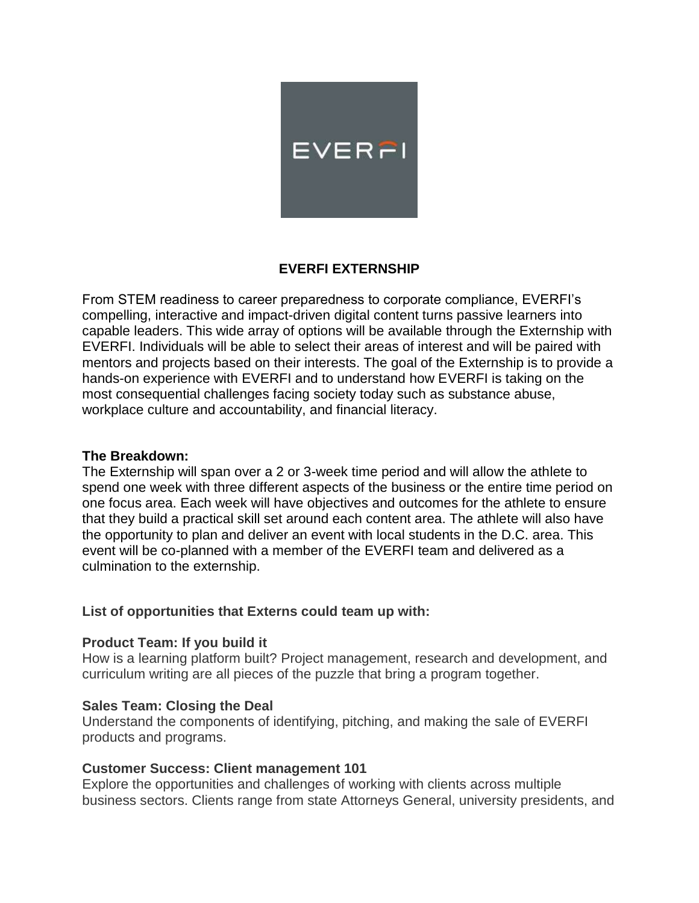

# **EVERFI EXTERNSHIP**

From STEM readiness to career preparedness to corporate compliance, EVERFI's compelling, interactive and impact-driven digital content turns passive learners into capable leaders. This wide array of options will be available through the Externship with EVERFI. Individuals will be able to select their areas of interest and will be paired with mentors and projects based on their interests. The goal of the Externship is to provide a hands-on experience with EVERFI and to understand how EVERFI is taking on the most consequential challenges facing society today such as substance abuse, workplace culture and accountability, and financial literacy.

#### **The Breakdown:**

The Externship will span over a 2 or 3-week time period and will allow the athlete to spend one week with three different aspects of the business or the entire time period on one focus area. Each week will have objectives and outcomes for the athlete to ensure that they build a practical skill set around each content area. The athlete will also have the opportunity to plan and deliver an event with local students in the D.C. area. This event will be co-planned with a member of the EVERFI team and delivered as a culmination to the externship.

## **List of opportunities that Externs could team up with:**

#### **Product Team: If you build it**

How is a learning platform built? Project management, research and development, and curriculum writing are all pieces of the puzzle that bring a program together.

## **Sales Team: Closing the Deal**

Understand the components of identifying, pitching, and making the sale of EVERFI products and programs.

## **Customer Success: Client management 101**

Explore the opportunities and challenges of working with clients across multiple business sectors. Clients range from state Attorneys General, university presidents, and